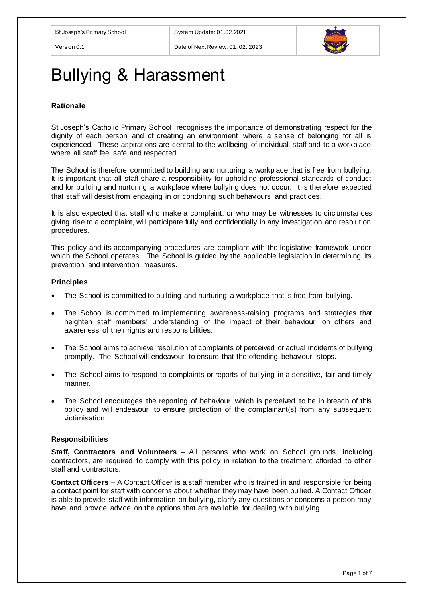

# Bullying & Harassment

## **Rationale**

St Joseph's Catholic Primary School recognises the importance of demonstrating respect for the dignity of each person and of creating an environment where a sense of belonging for all is experienced. These aspirations are central to the wellbeing of individual staff and to a workplace where all staff feel safe and respected.

The School is therefore committed to building and nurturing a workplace that is free from bullying. It is important that all staff share a responsibility for upholding professional standards of conduct and for building and nurturing a workplace where bullying does not occur. It is therefore expected that staff will desist from engaging in or condoning such behaviours and practices.

It is also expected that staff who make a complaint, or who may be witnesses to circ umstances giving rise to a complaint, will participate fully and confidentially in any investigation and resolution procedures.

This policy and its accompanying procedures are compliant with the legislative framework under which the School operates. The School is guided by the applicable legislation in determining its prevention and intervention measures.

## **Principles**

- The School is committed to building and nurturing a workplace that is free from bullying.
- The School is committed to implementing awareness-raising programs and strategies that heighten staff members' understanding of the impact of their behaviour on others and awareness of their rights and responsibilities.
- The School aims to achieve resolution of complaints of perceived or actual incidents of bullying promptly. The School will endeavour to ensure that the offending behaviour stops.
- The School aims to respond to complaints or reports of bullying in a sensitive, fair and timely manner.
- The School encourages the reporting of behaviour which is perceived to be in breach of this policy and will endeavour to ensure protection of the complainant(s) from any subsequent victimisation.

## **Responsibilities**

**Staff, Contractors and Volunteers** – All persons who work on School grounds, including contractors, are required to comply with this policy in relation to the treatment afforded to other staff and contractors.

**Contact Officers** – A Contact Officer is a staff member who is trained in and responsible for being a contact point for staff with concerns about whether they may have been bullied. A Contact Officer is able to provide staff with information on bullying, clarify any questions or concerns a person may have and provide advice on the options that are available for dealing with bullying.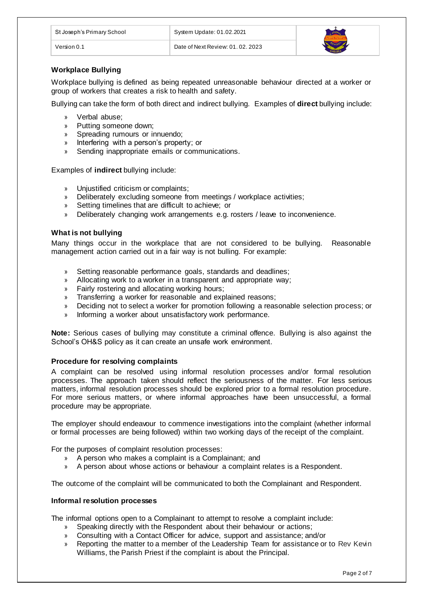| St Joseph's Primary School | System Update: 01.02.2021         |  |
|----------------------------|-----------------------------------|--|
| √ersion 0.1                | Date of Next Review: 01, 02, 2023 |  |

# **Workplace Bullying**

Workplace bullying is defined as being repeated unreasonable behaviour directed at a worker or group of workers that creates a risk to health and safety.

Bullying can take the form of both direct and indirect bullying. Examples of **direct** bullying include:

- » Verbal abuse;
- » Putting someone down;
- » Spreading rumours or innuendo;
- » Interfering with a person's property; or
- » Sending inappropriate emails or communications.

Examples of **indirect** bullying include:

- » Unjustified criticism or complaints;
- » Deliberately excluding someone from meetings / workplace activities;
- » Setting timelines that are difficult to achieve; or
- » Deliberately changing work arrangements e.g. rosters / leave to inconvenience.

## **What is not bullying**

Many things occur in the workplace that are not considered to be bullying. Reasonable management action carried out in a fair way is not bulling. For example:

- » Setting reasonable performance goals, standards and deadlines;
- » Allocating work to a worker in a transparent and appropriate way;
- » Fairly rostering and allocating working hours;
- » Transferring a worker for reasonable and explained reasons;
- » Deciding not to select a worker for promotion following a reasonable selection process; or
- » Informing a worker about unsatisfactory work performance.

**Note:** Serious cases of bullying may constitute a criminal offence. Bullying is also against the School's OH&S policy as it can create an unsafe work environment.

#### **Procedure for resolving complaints**

A complaint can be resolved using informal resolution processes and/or formal resolution processes. The approach taken should reflect the seriousness of the matter. For less serious matters, informal resolution processes should be explored prior to a formal resolution procedure. For more serious matters, or where informal approaches have been unsuccessful, a formal procedure may be appropriate.

The employer should endeavour to commence investigations into the complaint (whether informal or formal processes are being followed) within two working days of the receipt of the complaint.

For the purposes of complaint resolution processes:

- » A person who makes a complaint is a Complainant; and
- » A person about whose actions or behaviour a complaint relates is a Respondent.

The outcome of the complaint will be communicated to both the Complainant and Respondent.

#### **Informal resolution processes**

The informal options open to a Complainant to attempt to resolve a complaint include:

- » Speaking directly with the Respondent about their behaviour or actions;
- » Consulting with a Contact Officer for advice, support and assistance; and/or
- » Reporting the matter to a member of the Leadership Team for assistance or to Rev Kevin Williams, the Parish Priest if the complaint is about the Principal.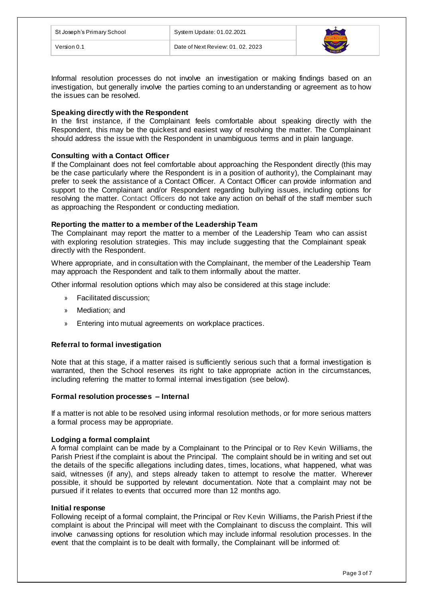| St Joseph's Primary School | System Update: 01.02.2021         |  |
|----------------------------|-----------------------------------|--|
| Version 0.1                | Date of Next Review: 01, 02, 2023 |  |

Informal resolution processes do not involve an investigation or making findings based on an investigation, but generally involve the parties coming to an understanding or agreement as to how the issues can be resolved.

## **Speaking directly with the Respondent**

In the first instance, if the Complainant feels comfortable about speaking directly with the Respondent, this may be the quickest and easiest way of resolving the matter. The Complainant should address the issue with the Respondent in unambiguous terms and in plain language.

## **Consulting with a Contact Officer**

If the Complainant does not feel comfortable about approaching the Respondent directly (this may be the case particularly where the Respondent is in a position of authority), the Complainant may prefer to seek the assistance of a Contact Officer. A Contact Officer can provide information and support to the Complainant and/or Respondent regarding bullying issues, including options for resolving the matter. Contact Officers do not take any action on behalf of the staff member such as approaching the Respondent or conducting mediation.

## **Reporting the matter to a member of the Leadership Team**

The Complainant may report the matter to a member of the Leadership Team who can assist with exploring resolution strategies. This may include suggesting that the Complainant speak directly with the Respondent.

Where appropriate, and in consultation with the Complainant, the member of the Leadership Team may approach the Respondent and talk to them informally about the matter.

Other informal resolution options which may also be considered at this stage include:

- » Facilitated discussion;
- » Mediation; and
- » Entering into mutual agreements on workplace practices.

## **Referral to formal investigation**

Note that at this stage, if a matter raised is sufficiently serious such that a formal investigation is warranted, then the School reserves its right to take appropriate action in the circumstances, including referring the matter to formal internal investigation (see below).

## **Formal resolution processes – Internal**

If a matter is not able to be resolved using informal resolution methods, or for more serious matters a formal process may be appropriate.

#### **Lodging a formal complaint**

A formal complaint can be made by a Complainant to the Principal or to Rev Kevin Williams, the Parish Priest if the complaint is about the Principal. The complaint should be in writing and set out the details of the specific allegations including dates, times, locations, what happened, what was said, witnesses (if any), and steps already taken to attempt to resolve the matter. Wherever possible, it should be supported by relevant documentation. Note that a complaint may not be pursued if it relates to events that occurred more than 12 months ago.

#### **Initial response**

Following receipt of a formal complaint, the Principal or Rev Kevin Williams, the Parish Priest if the complaint is about the Principal will meet with the Complainant to discuss the complaint. This will involve canvassing options for resolution which may include informal resolution processes. In the event that the complaint is to be dealt with formally, the Complainant will be informed of: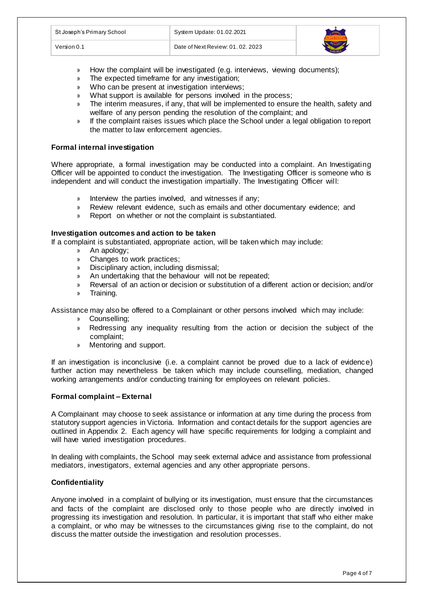| St Joseph's Primary School | System Update: 01.02.2021         |  |
|----------------------------|-----------------------------------|--|
| Version 0.1                | Date of Next Review: 01, 02, 2023 |  |

- » How the complaint will be investigated (e.g. interviews, viewing documents);
- » The expected timeframe for any investigation;
- » Who can be present at investigation interviews;
- What support is available for persons involved in the process;
- » The interim measures, if any, that will be implemented to ensure the health, safety and welfare of any person pending the resolution of the complaint; and
- » If the complaint raises issues which place the School under a legal obligation to report the matter to law enforcement agencies.

## **Formal internal investigation**

Where appropriate, a formal investigation may be conducted into a complaint. An Investigating Officer will be appointed to conduct the investigation. The Investigating Officer is someone who is independent and will conduct the investigation impartially. The Investigating Officer will:

- » Interview the parties involved, and witnesses if any;
- » Review relevant evidence, such as emails and other documentary evidence; and
- » Report on whether or not the complaint is substantiated.

## **Investigation outcomes and action to be taken**

If a complaint is substantiated, appropriate action, will be taken which may include:

- » An apology;
- » Changes to work practices;<br>» Disciplinary action. including
- » Disciplinary action, including dismissal;
- » An undertaking that the behaviour will not be repeated;
- » Reversal of an action or decision or substitution of a different action or decision; and/or
- » Training.

Assistance may also be offered to a Complainant or other persons involved which may include:

- » Counselling;
- » Redressing any inequality resulting from the action or decision the subject of the complaint;
- » Mentoring and support.

If an investigation is inconclusive (i.e. a complaint cannot be proved due to a lack of evidence) further action may nevertheless be taken which may include counselling, mediation, changed working arrangements and/or conducting training for employees on relevant policies.

## **Formal complaint – External**

A Complainant may choose to seek assistance or information at any time during the process from statutory support agencies in Victoria. Information and contact details for the support agencies are outlined in Appendix 2. Each agency will have specific requirements for lodging a complaint and will have varied investigation procedures.

In dealing with complaints, the School may seek external advice and assistance from professional mediators, investigators, external agencies and any other appropriate persons.

## **Confidentiality**

Anyone involved in a complaint of bullying or its investigation, must ensure that the circumstances and facts of the complaint are disclosed only to those people who are directly involved in progressing its investigation and resolution. In particular, it is important that staff who either make a complaint, or who may be witnesses to the circumstances giving rise to the complaint, do not discuss the matter outside the investigation and resolution processes.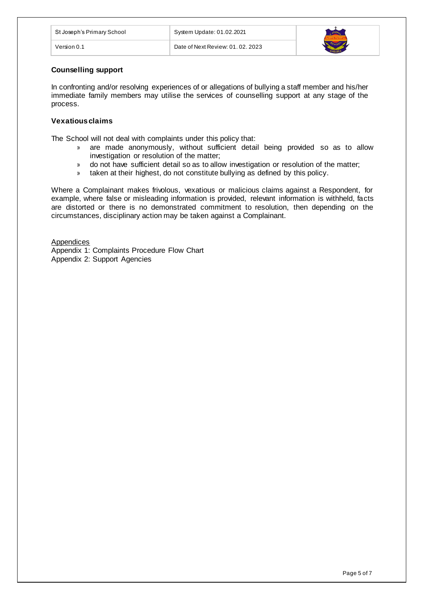| St Joseph's Primary School | System Update: 01.02.2021         |  |
|----------------------------|-----------------------------------|--|
| Version 0.1                | Date of Next Review: 01, 02, 2023 |  |

## **Counselling support**

In confronting and/or resolving experiences of or allegations of bullying a staff member and his/her immediate family members may utilise the services of counselling support at any stage of the process.

# **Vexatious claims**

The School will not deal with complaints under this policy that:

- » are made anonymously, without sufficient detail being provided so as to allow investigation or resolution of the matter;
- » do not have sufficient detail so as to allow investigation or resolution of the matter;
- » taken at their highest, do not constitute bullying as defined by this policy.

Where a Complainant makes frivolous, vexatious or malicious claims against a Respondent, for example, where false or misleading information is provided, relevant information is withheld, facts are distorted or there is no demonstrated commitment to resolution, then depending on the circumstances, disciplinary action may be taken against a Complainant.

**Appendices** Appendix 1: Complaints Procedure Flow Chart Appendix 2: Support Agencies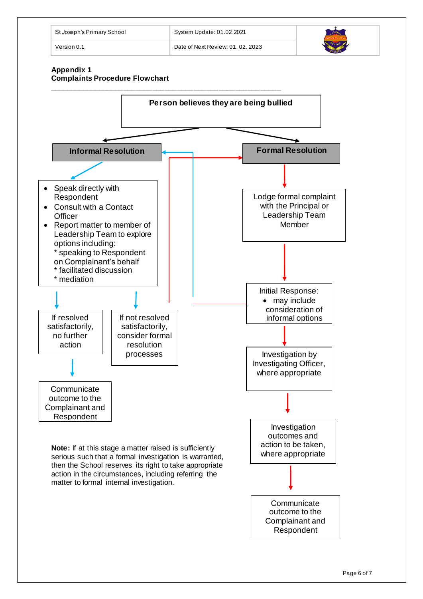

# **Appendix 1 Complaints Procedure Flowchart**